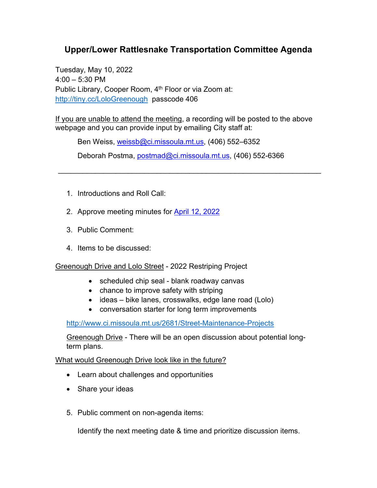## **Upper/Lower Rattlesnake Transportation Committee Agenda**

Tuesday, May 10, 2022  $4:00 - 5:30$  PM Public Library, Cooper Room, 4<sup>th</sup> Floor or via Zoom at: <http://tiny.cc/LoloGreenough> passcode 406

If you are unable to attend the meeting, a recording will be posted to the above webpage and you can provide input by emailing City staff at:

Ben Weiss, [weissb@ci.missoula.mt.us,](mailto:weissb@ci.missoula.mt.us) (406) 552–6352

Deborah Postma, [postmad@ci.missoula.mt.us,](mailto:postmad@ci.missoula.mt.us) (406) 552-6366

\_\_\_\_\_\_\_\_\_\_\_\_\_\_\_\_\_\_\_\_\_\_\_\_\_\_\_\_\_\_\_\_\_\_\_\_\_\_\_\_\_\_\_\_\_\_\_\_\_\_\_\_\_\_\_\_\_\_\_\_\_\_\_\_

- 1. Introductions and Roll Call:
- 2. Approve meeting minutes for [April 12, 2022](https://www.ci.missoula.mt.us/Archive.aspx?ADID=16702)
- 3. Public Comment:
- 4. Items to be discussed:

Greenough Drive and Lolo Street - 2022 Restriping Project

- scheduled chip seal blank roadway canvas
- chance to improve safety with striping
- ideas bike lanes, crosswalks, edge lane road (Lolo)
- conversation starter for long term improvements

<http://www.ci.missoula.mt.us/2681/Street-Maintenance-Projects>

Greenough Drive - There will be an open discussion about potential longterm plans.

What would Greenough Drive look like in the future?

- Learn about challenges and opportunities
- Share your ideas
- 5. Public comment on non-agenda items:

Identify the next meeting date & time and prioritize discussion items.